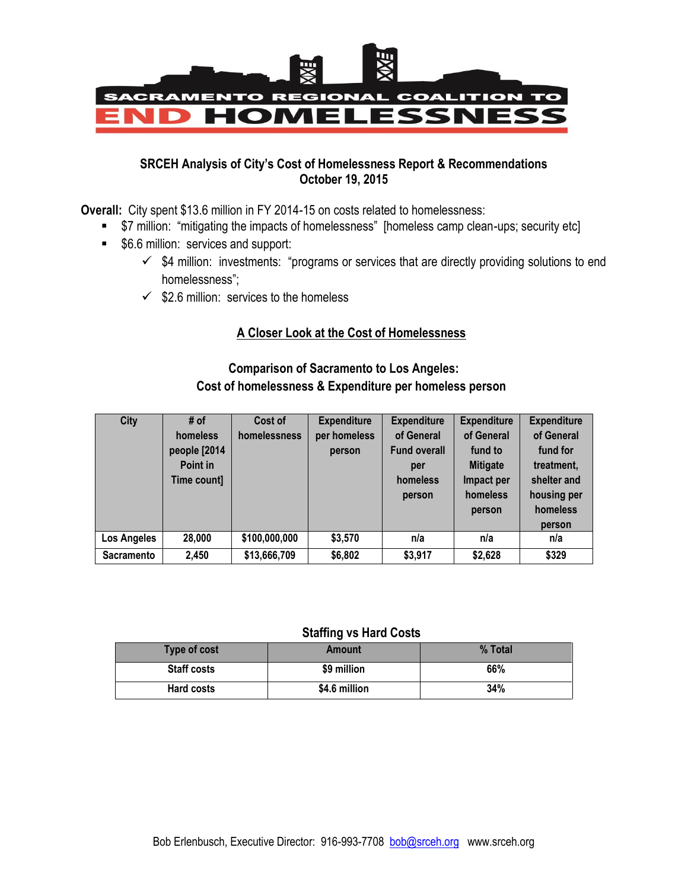

### **SRCEH Analysis of City's Cost of Homelessness Report & Recommendations October 19, 2015**

**Overall:** City spent \$13.6 million in FY 2014-15 on costs related to homelessness:

- \$7 million: "mitigating the impacts of homelessness" [homeless camp clean-ups; security etc]
- **56.6 million: services and support:** 
	- $\checkmark$  \$4 million: investments: "programs or services that are directly providing solutions to end homelessness";
	- $\checkmark$  \$2.6 million: services to the homeless

### **A Closer Look at the Cost of Homelessness**

## **Comparison of Sacramento to Los Angeles: Cost of homelessness & Expenditure per homeless person**

| <b>City</b>       | # of<br>homeless<br>people [2014<br>Point in<br>Time count] | Cost of<br>homelessness | <b>Expenditure</b><br>per homeless<br>person | <b>Expenditure</b><br>of General<br><b>Fund overall</b><br>per<br>homeless<br>person | <b>Expenditure</b><br>of General<br>fund to<br><b>Mitigate</b><br>Impact per<br>homeless<br>person | <b>Expenditure</b><br>of General<br>fund for<br>treatment,<br>shelter and<br>housing per<br>homeless<br>person |
|-------------------|-------------------------------------------------------------|-------------------------|----------------------------------------------|--------------------------------------------------------------------------------------|----------------------------------------------------------------------------------------------------|----------------------------------------------------------------------------------------------------------------|
| Los Angeles       | 28,000                                                      | \$100,000,000           | \$3,570                                      | n/a                                                                                  | n/a                                                                                                | n/a                                                                                                            |
| <b>Sacramento</b> | 2,450                                                       | \$13,666,709            | \$6,802                                      | \$3,917                                                                              | \$2,628                                                                                            | \$329                                                                                                          |

#### **Staffing vs Hard Costs**

| Type of cost       | Amount        | % Total |  |  |  |
|--------------------|---------------|---------|--|--|--|
| <b>Staff costs</b> | \$9 million   | 66%     |  |  |  |
| <b>Hard costs</b>  | \$4.6 million | 34%     |  |  |  |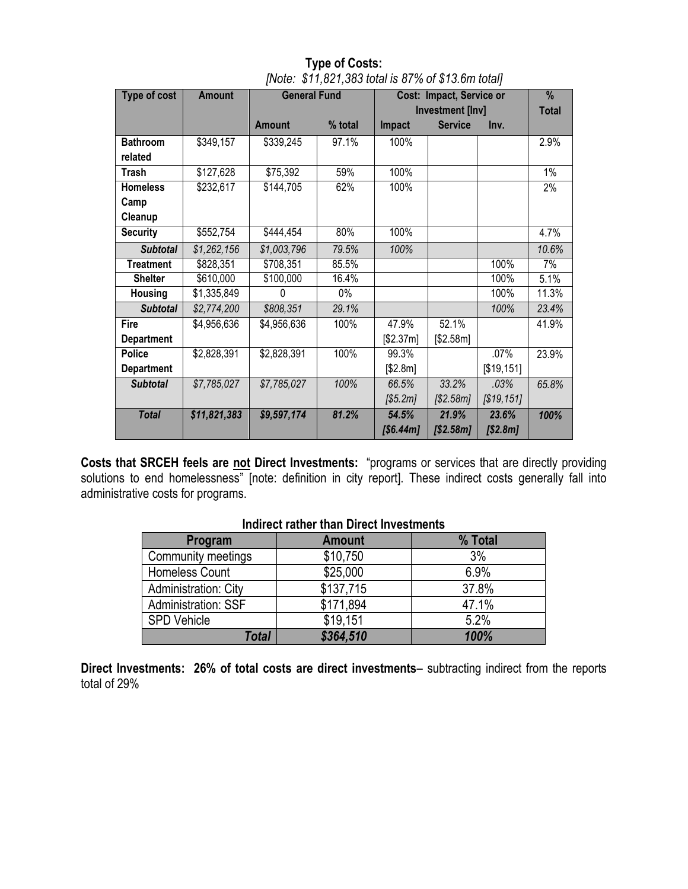| Type of cost      | <b>Amount</b> | <b>General Fund</b> |         | Cost: Impact, Service or |                |            | %            |
|-------------------|---------------|---------------------|---------|--------------------------|----------------|------------|--------------|
|                   |               |                     |         | <b>Investment [Inv]</b>  |                |            | <b>Total</b> |
|                   |               | <b>Amount</b>       | % total | Impact                   | <b>Service</b> | Inv.       |              |
| <b>Bathroom</b>   | \$349,157     | \$339,245           | 97.1%   | 100%                     |                |            | 2.9%         |
| related           |               |                     |         |                          |                |            |              |
| Trash             | \$127,628     | \$75,392            | 59%     | 100%                     |                |            | 1%           |
| <b>Homeless</b>   | \$232,617     | \$144,705           | 62%     | 100%                     |                |            | 2%           |
| Camp              |               |                     |         |                          |                |            |              |
| Cleanup           |               |                     |         |                          |                |            |              |
| <b>Security</b>   | \$552,754     | \$444,454           | 80%     | 100%                     |                |            | 4.7%         |
| <b>Subtotal</b>   | \$1,262,156   | \$1,003,796         | 79.5%   | 100%                     |                |            | 10.6%        |
| <b>Treatment</b>  | \$828,351     | \$708,351           | 85.5%   |                          |                | 100%       | 7%           |
| <b>Shelter</b>    | \$610,000     | \$100,000           | 16.4%   |                          |                | 100%       | 5.1%         |
| <b>Housing</b>    | \$1,335,849   | 0                   | $0\%$   |                          |                | 100%       | 11.3%        |
| <b>Subtotal</b>   | \$2,774,200   | \$808,351           | 29.1%   |                          |                | 100%       | 23.4%        |
| Fire              | \$4,956,636   | \$4,956,636         | 100%    | 47.9%                    | 52.1%          |            | 41.9%        |
| <b>Department</b> |               |                     |         | [\$2.37m]                | \$2.58m]       |            |              |
| <b>Police</b>     | \$2,828,391   | \$2,828,391         | 100%    | 99.3%                    |                | .07%       | 23.9%        |
| <b>Department</b> |               |                     |         | [\$2.8m]                 |                | [\$19,151] |              |
| <b>Subtotal</b>   | \$7,785,027   | \$7,785,027         | 100%    | 66.5%                    | 33.2%          | .03%       | 65.8%        |
|                   |               |                     |         | [\$5.2m]                 | [\$2.58m]      | [\$19,151] |              |
| <b>Total</b>      | \$11,821,383  | \$9,597,174         | 81.2%   | 54.5%                    | 21.9%          | 23.6%      | 100%         |
|                   |               |                     |         | [\$6.44m]                | $[ $2.58m]$    | [\$2.8m]   |              |

**Type of Costs:** *[Note: \$11,821,383 total is 87% of \$13.6m total]*

**Costs that SRCEH feels are not Direct Investments:** "programs or services that are directly providing solutions to end homelessness" [note: definition in city report]. These indirect costs generally fall into administrative costs for programs.

| Program                     | <b>Amount</b> | % Total |  |  |  |
|-----------------------------|---------------|---------|--|--|--|
| Community meetings          | \$10,750      | 3%      |  |  |  |
| Homeless Count              | \$25,000      | 6.9%    |  |  |  |
| <b>Administration: City</b> | \$137,715     | 37.8%   |  |  |  |
| Administration: SSF         | \$171,894     | 47.1%   |  |  |  |
| <b>SPD Vehicle</b>          | \$19,151      | 5.2%    |  |  |  |
| Total                       | \$364,510     | 100%    |  |  |  |

### **Indirect rather than Direct Investments**

**Direct Investments: 26% of total costs are direct investments**– subtracting indirect from the reports total of 29%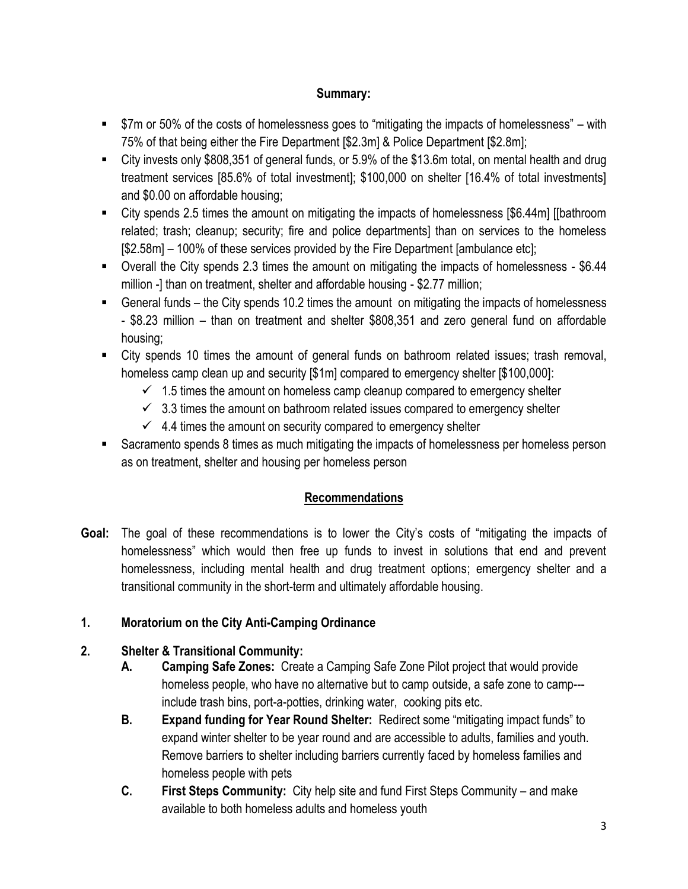## **Summary:**

- \$7m or 50% of the costs of homelessness goes to "mitigating the impacts of homelessness" with 75% of that being either the Fire Department [\$2.3m] & Police Department [\$2.8m];
- City invests only \$808,351 of general funds, or 5.9% of the \$13.6m total, on mental health and drug treatment services [85.6% of total investment]; \$100,000 on shelter [16.4% of total investments] and \$0.00 on affordable housing;
- City spends 2.5 times the amount on mitigating the impacts of homelessness [\$6.44m] [[bathroom related; trash; cleanup; security; fire and police departments] than on services to the homeless [\$2.58m] – 100% of these services provided by the Fire Department [ambulance etc];
- Overall the City spends 2.3 times the amount on mitigating the impacts of homelessness \$6.44 million -] than on treatment, shelter and affordable housing - \$2.77 million;
- General funds the City spends 10.2 times the amount on mitigating the impacts of homelessness - \$8.23 million – than on treatment and shelter \$808,351 and zero general fund on affordable housing;
- City spends 10 times the amount of general funds on bathroom related issues; trash removal, homeless camp clean up and security  $\lceil \frac{6}{1m} \rceil$  compared to emergency shelter  $\lceil \frac{6}{3} \rceil 00,000 \rceil$ :
	- $\checkmark$  1.5 times the amount on homeless camp cleanup compared to emergency shelter
	- $\checkmark$  3.3 times the amount on bathroom related issues compared to emergency shelter
	- $\checkmark$  4.4 times the amount on security compared to emergency shelter
- Sacramento spends 8 times as much mitigating the impacts of homelessness per homeless person as on treatment, shelter and housing per homeless person

# **Recommendations**

**Goal:** The goal of these recommendations is to lower the City's costs of "mitigating the impacts of homelessness" which would then free up funds to invest in solutions that end and prevent homelessness, including mental health and drug treatment options; emergency shelter and a transitional community in the short-term and ultimately affordable housing.

# **1. Moratorium on the City Anti-Camping Ordinance**

# **2. Shelter & Transitional Community:**

- **A. Camping Safe Zones:** Create a Camping Safe Zone Pilot project that would provide homeless people, who have no alternative but to camp outside, a safe zone to camp-- include trash bins, port-a-potties, drinking water, cooking pits etc.
- **B. Expand funding for Year Round Shelter:** Redirect some "mitigating impact funds" to expand winter shelter to be year round and are accessible to adults, families and youth. Remove barriers to shelter including barriers currently faced by homeless families and homeless people with pets
- **C. First Steps Community:** City help site and fund First Steps Community and make available to both homeless adults and homeless youth